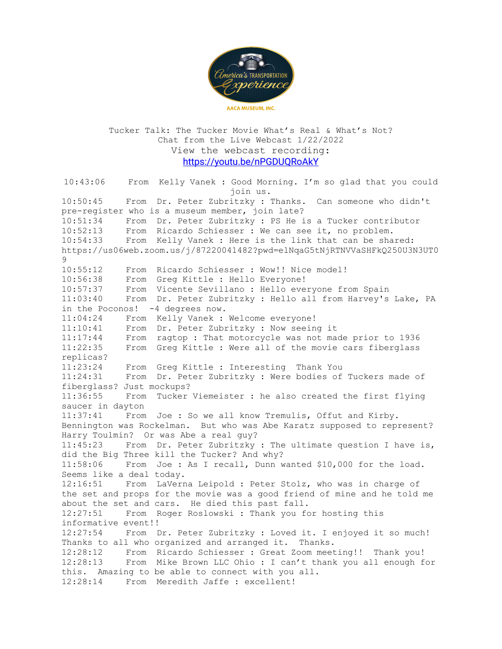

Tucker Talk: The Tucker Movie What's Real & What's Not? Chat from the Live Webcast 1/22/2022 View the webcast recording: https://youtu.be/nPGDUQRoAkY

10:43:06 From Kelly Vanek : Good Morning. I'm so glad that you could join us. 10:50:45 From Dr. Peter Zubritzky : Thanks. Can someone who didn't pre-register who is a museum member, join late? 10:51:34 From Dr. Peter Zubritzky : PS He is a Tucker contributor 10:52:13 From Ricardo Schiesser : We can see it, no problem. 10:54:33 From Kelly Vanek : Here is the link that can be shared: https://us06web.zoom.us/j/87220041482?pwd=elNqaG5tNjRTNVVaSHFkQ250U3N3UT0  $Q$ 10:55:12 From Ricardo Schiesser : Wow!! Nice model! 10:56:38 From Greg Kittle : Hello Everyone! 10:57:37 From Vicente Sevillano : Hello everyone from Spain 11:03:40 From Dr. Peter Zubritzky : Hello all from Harvey's Lake, PA in the Poconos! -4 degrees now. 11:04:24 From Kelly Vanek : Welcome everyone! 11:10:41 From Dr. Peter Zubritzky : Now seeing it 11:17:44 From ragtop : That motorcycle was not made prior to 1936 11:22:35 From Greg Kittle : Were all of the movie cars fiberglass replicas? 11:23:24 From Greg Kittle : Interesting Thank You 11:24:31 From Dr. Peter Zubritzky : Were bodies of Tuckers made of fiberglass? Just mockups? 11:36:55 From Tucker Viemeister : he also created the first flying saucer in dayton 11:37:41 From Joe : So we all know Tremulis, Offut and Kirby. Bennington was Rockelman. But who was Abe Karatz supposed to represent? Harry Toulmin? Or was Abe a real guy? 11:45:23 From Dr. Peter Zubritzky : The ultimate question I have is, did the Big Three kill the Tucker? And why? 11:58:06 From Joe : As I recall, Dunn wanted \$10,000 for the load. Seems like a deal today. 12:16:51 From LaVerna Leipold : Peter Stolz, who was in charge of the set and props for the movie was a good friend of mine and he told me about the set and cars. He died this past fall. 12:27:51 From Roger Roslowski : Thank you for hosting this informative event!! 12:27:54 From Dr. Peter Zubritzky : Loved it. I enjoyed it so much! Thanks to all who organized and arranged it. Thanks. 12:28:12 From Ricardo Schiesser : Great Zoom meeting!! Thank you! 12:28:13 From Mike Brown LLC Ohio : I can't thank you all enough for this. Amazing to be able to connect with you all. 12:28:14 From Meredith Jaffe : excellent!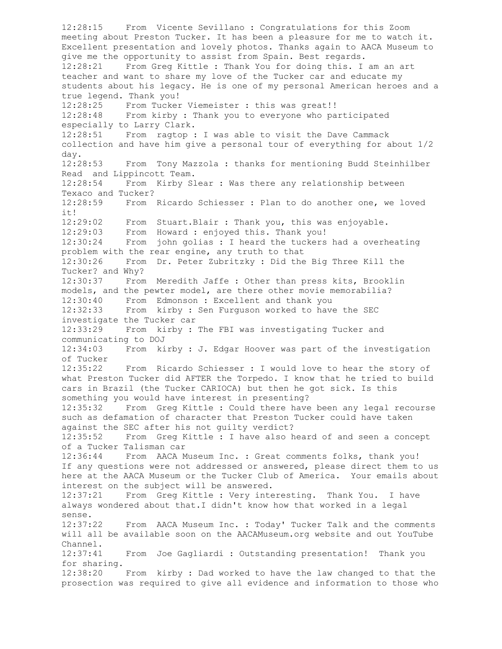12:28:15 From Vicente Sevillano : Congratulations for this Zoom meeting about Preston Tucker. It has been a pleasure for me to watch it. Excellent presentation and lovely photos. Thanks again to AACA Museum to give me the opportunity to assist from Spain. Best regards. 12:28:21 From Greg Kittle : Thank You for doing this. I am an art teacher and want to share my love of the Tucker car and educate my students about his legacy. He is one of my personal American heroes and a true legend. Thank you! 12:28:25 From Tucker Viemeister : this was great!! 12:28:48 From kirby : Thank you to everyone who participated especially to Larry Clark. 12:28:51 From ragtop : I was able to visit the Dave Cammack collection and have him give a personal tour of everything for about 1/2 day. 12:28:53 From Tony Mazzola : thanks for mentioning Budd Steinhilber Read and Lippincott Team. 12:28:54 From Kirby Slear : Was there any relationship between Texaco and Tucker? 12:28:59 From Ricardo Schiesser : Plan to do another one, we loved it! 12:29:02 From Stuart.Blair : Thank you, this was enjoyable. 12:29:03 From Howard : enjoyed this. Thank you! 12:30:24 From john golias : I heard the tuckers had a overheating problem with the rear engine, any truth to that 12:30:26 From Dr. Peter Zubritzky : Did the Big Three Kill the Tucker? and Why? 12:30:37 From Meredith Jaffe : Other than press kits, Brooklin models, and the pewter model, are there other movie memorabilia? 12:30:40 From Edmonson : Excellent and thank you 12:32:33 From kirby : Sen Furguson worked to have the SEC investigate the Tucker car 12:33:29 From kirby : The FBI was investigating Tucker and communicating to DOJ 12:34:03 From kirby : J. Edgar Hoover was part of the investigation of Tucker 12:35:22 From Ricardo Schiesser : I would love to hear the story of what Preston Tucker did AFTER the Torpedo. I know that he tried to build cars in Brazil (the Tucker CARIOCA) but then he got sick. Is this something you would have interest in presenting? 12:35:32 From Greg Kittle : Could there have been any legal recourse such as defamation of character that Preston Tucker could have taken against the SEC after his not guilty verdict? 12:35:52 From Greg Kittle : I have also heard of and seen a concept of a Tucker Talisman car 12:36:44 From AACA Museum Inc. : Great comments folks, thank you! If any questions were not addressed or answered, please direct them to us here at the AACA Museum or the Tucker Club of America. Your emails about interest on the subject will be answered. 12:37:21 From Greg Kittle : Very interesting. Thank You. I have always wondered about that.I didn't know how that worked in a legal sense. 12:37:22 From AACA Museum Inc. : Today' Tucker Talk and the comments will all be available soon on the AACAMuseum.org website and out YouTube Channel. 12:37:41 From Joe Gagliardi : Outstanding presentation! Thank you for sharing. 12:38:20 From kirby : Dad worked to have the law changed to that the prosection was required to give all evidence and information to those who